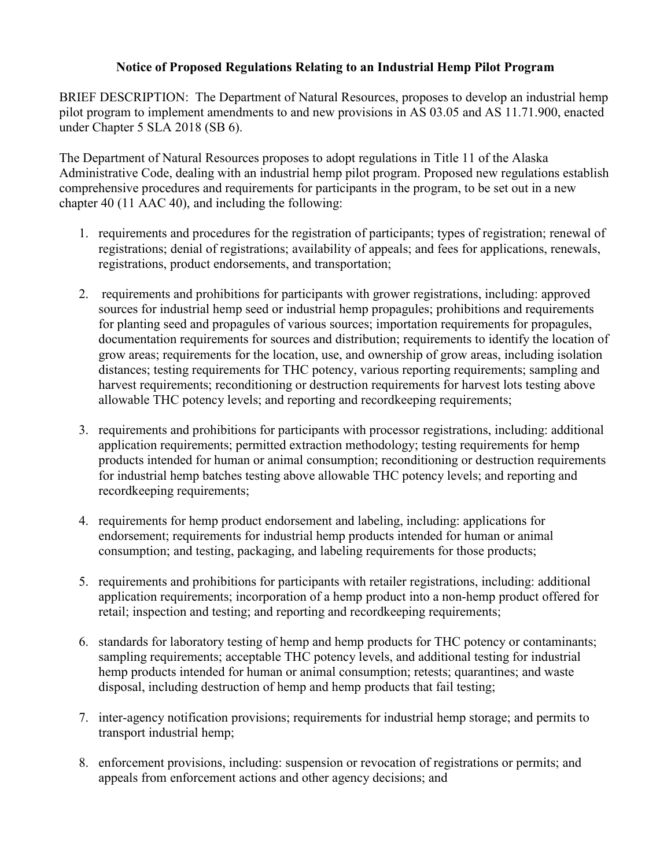## **Notice of Proposed Regulations Relating to an Industrial Hemp Pilot Program**

BRIEF DESCRIPTION: The Department of Natural Resources, proposes to develop an industrial hemp pilot program to implement amendments to and new provisions in AS 03.05 and AS 11.71.900, enacted under Chapter 5 SLA 2018 (SB 6).

The Department of Natural Resources proposes to adopt regulations in Title 11 of the Alaska Administrative Code, dealing with an industrial hemp pilot program. Proposed new regulations establish comprehensive procedures and requirements for participants in the program, to be set out in a new chapter 40 (11 AAC 40), and including the following:

- 1. requirements and procedures for the registration of participants; types of registration; renewal of registrations; denial of registrations; availability of appeals; and fees for applications, renewals, registrations, product endorsements, and transportation;
- 2. requirements and prohibitions for participants with grower registrations, including: approved sources for industrial hemp seed or industrial hemp propagules; prohibitions and requirements for planting seed and propagules of various sources; importation requirements for propagules, documentation requirements for sources and distribution; requirements to identify the location of grow areas; requirements for the location, use, and ownership of grow areas, including isolation distances; testing requirements for THC potency, various reporting requirements; sampling and harvest requirements; reconditioning or destruction requirements for harvest lots testing above allowable THC potency levels; and reporting and recordkeeping requirements;
- 3. requirements and prohibitions for participants with processor registrations, including: additional application requirements; permitted extraction methodology; testing requirements for hemp products intended for human or animal consumption; reconditioning or destruction requirements for industrial hemp batches testing above allowable THC potency levels; and reporting and recordkeeping requirements;
- 4. requirements for hemp product endorsement and labeling, including: applications for endorsement; requirements for industrial hemp products intended for human or animal consumption; and testing, packaging, and labeling requirements for those products;
- 5. requirements and prohibitions for participants with retailer registrations, including: additional application requirements; incorporation of a hemp product into a non-hemp product offered for retail; inspection and testing; and reporting and recordkeeping requirements;
- 6. standards for laboratory testing of hemp and hemp products for THC potency or contaminants; sampling requirements; acceptable THC potency levels, and additional testing for industrial hemp products intended for human or animal consumption; retests; quarantines; and waste disposal, including destruction of hemp and hemp products that fail testing;
- 7. inter-agency notification provisions; requirements for industrial hemp storage; and permits to transport industrial hemp;
- 8. enforcement provisions, including: suspension or revocation of registrations or permits; and appeals from enforcement actions and other agency decisions; and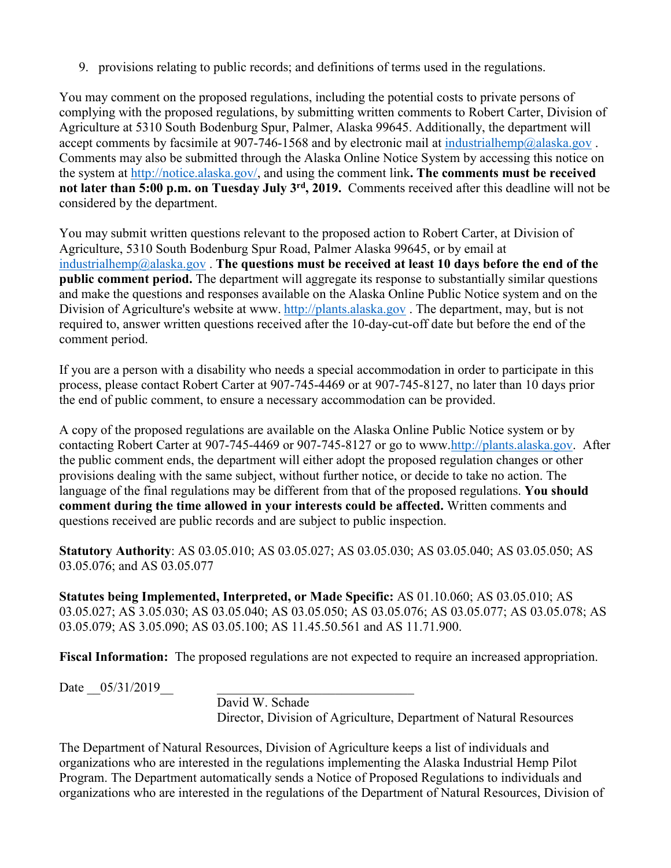9. provisions relating to public records; and definitions of terms used in the regulations.

You may comment on the proposed regulations, including the potential costs to private persons of complying with the proposed regulations, by submitting written comments to Robert Carter, Division of Agriculture at 5310 South Bodenburg Spur, Palmer, Alaska 99645. Additionally, the department will accept comments by facsimile at 907-746-1568 and by electronic mail at industrial hemp@alaska.gov. Comments may also be submitted through the Alaska Online Notice System by accessing this notice on the system at [http://notice.alaska.gov/,](http://notice.alaska.gov/) and using the comment link**. The comments must be received not later than 5:00 p.m. on Tuesday July 3rd, 2019.** Comments received after this deadline will not be considered by the department.

You may submit written questions relevant to the proposed action to Robert Carter, at Division of Agriculture, 5310 South Bodenburg Spur Road, Palmer Alaska 99645, or by email at [industrialhemp@alaska.gov](mailto:industrialhemp@alaska.gov) . **The questions must be received at least 10 days before the end of the public comment period.** The department will aggregate its response to substantially similar questions and make the questions and responses available on the Alaska Online Public Notice system and on the Division of Agriculture's website at www. [http://plants.alaska.gov](http://plants.alaska.gov/) . The department, may, but is not required to, answer written questions received after the 10-day-cut-off date but before the end of the comment period.

If you are a person with a disability who needs a special accommodation in order to participate in this process, please contact Robert Carter at 907-745-4469 or at 907-745-8127, no later than 10 days prior the end of public comment, to ensure a necessary accommodation can be provided.

A copy of the proposed regulations are available on the Alaska Online Public Notice system or by contacting Robert Carter at 907-745-4469 or 907-745-8127 or go to www[.http://plants.alaska.gov.](http://plants.alaska.gov/) After the public comment ends, the department will either adopt the proposed regulation changes or other provisions dealing with the same subject, without further notice, or decide to take no action. The language of the final regulations may be different from that of the proposed regulations. **You should comment during the time allowed in your interests could be affected.** Written comments and questions received are public records and are subject to public inspection.

**Statutory Authority**: AS 03.05.010; AS 03.05.027; AS 03.05.030; AS 03.05.040; AS 03.05.050; AS 03.05.076; and AS 03.05.077

**Statutes being Implemented, Interpreted, or Made Specific:** AS 01.10.060; AS 03.05.010; AS 03.05.027; AS 3.05.030; AS 03.05.040; AS 03.05.050; AS 03.05.076; AS 03.05.077; AS 03.05.078; AS 03.05.079; AS 3.05.090; AS 03.05.100; AS 11.45.50.561 and AS 11.71.900.

**Fiscal Information:** The proposed regulations are not expected to require an increased appropriation.

Date  $05/31/2019$ 

David W. Schade Director, Division of Agriculture, Department of Natural Resources

The Department of Natural Resources, Division of Agriculture keeps a list of individuals and organizations who are interested in the regulations implementing the Alaska Industrial Hemp Pilot Program. The Department automatically sends a Notice of Proposed Regulations to individuals and organizations who are interested in the regulations of the Department of Natural Resources, Division of